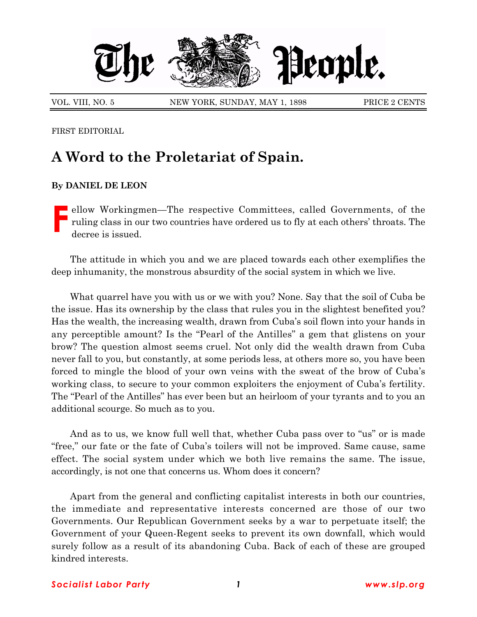

VOL. VIII, NO. 5 NEW YORK, SUNDAY, MAY 1, 1898 PRICE 2 CENTS

FIRST EDITORIAL

## **A Word to the Proletariat of Spain.**

## **By DANIEL DE LEON**

Fellow Workingmen—The respective Committees, called Governments, of the ruling class in our two countries have ordered us to fly at each others' throats. The decree is issued. ruling class in our two countries have ordered us to fly at each others' throats. The decree is issued.

The attitude in which you and we are placed towards each other exemplifies the deep inhumanity, the monstrous absurdity of the social system in which we live.

What quarrel have you with us or we with you? None. Say that the soil of Cuba be the issue. Has its ownership by the class that rules you in the slightest benefited you? Has the wealth, the increasing wealth, drawn from Cubaís soil flown into your hands in any perceptible amount? Is the "Pearl of the Antilles" a gem that glistens on your brow? The question almost seems cruel. Not only did the wealth drawn from Cuba never fall to you, but constantly, at some periods less, at others more so, you have been forced to mingle the blood of your own veins with the sweat of the brow of Cubaís working class, to secure to your common exploiters the enjoyment of Cuba's fertility. The "Pearl of the Antilles" has ever been but an heirloom of your tyrants and to you an additional scourge. So much as to you.

And as to us, we know full well that, whether Cuba pass over to "us" or is made ìfree,î our fate or the fate of Cubaís toilers will not be improved. Same cause, same effect. The social system under which we both live remains the same. The issue, accordingly, is not one that concerns us. Whom does it concern?

Apart from the general and conflicting capitalist interests in both our countries, the immediate and representative interests concerned are those of our two Governments. Our Republican Government seeks by a war to perpetuate itself; the Government of your Queen-Regent seeks to prevent its own downfall, which would surely follow as a result of its abandoning Cuba. Back of each of these are grouped kindred interests.

## *Socialist Labor Party 1 www.slp.org*